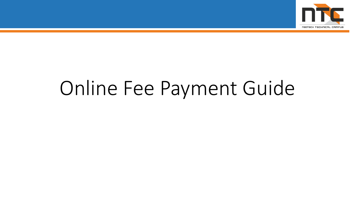

# Online Fee Payment Guide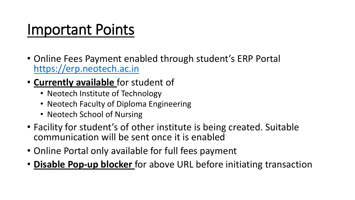#### Important Points

- Online Fees Payment enabled through student's ERP Portal [https://erp.neotech.ac.in](https://erp.neotech.ac.in/)
- **Currently available** for student of
	- Neotech Institute of Technology
	- Neotech Faculty of Diploma Engineering
	- Neotech School of Nursing
- Facility for student's of other institute is being created. Suitable communication will be sent once it is enabled
- Online Portal only available for full fees payment
- **Disable Pop-up blocker** for above URL before initiating transaction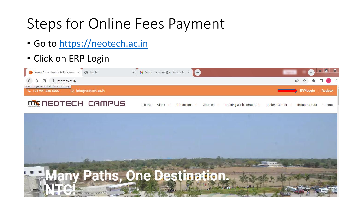- Go to [https://neotech.ac.in](https://neotech.ac.in/)
- Click on ERP Login



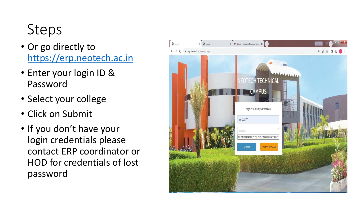# Steps

- Or go directly to [https://erp.neotech.ac.in](https://erp.neotech.ac.in/)
- Enter your login ID & Password
- Select your college
- Click on Submit
- If you don't have your login credentials please contact ERP coordinator or HOD for credentials of lost password

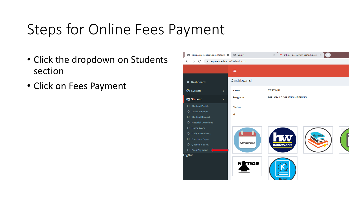- Click the dropdown on Students section
- Click on Fees Payment

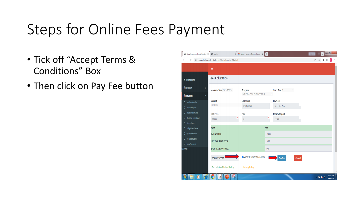- Tick off "Accept Terms & Conditions" Box
- Then click on Pay Fee button

| https://erp.neotech.ac.in/FeesCol X<br>$\odot$               | $\odot$ Log in                                                             | $x \mid M$ Inbox - accounts@neotech.ac.in $x \mid A$ |                                          | $\Box$ 0<br>$\mathbf{x}$<br>$\checkmark$ |
|--------------------------------------------------------------|----------------------------------------------------------------------------|------------------------------------------------------|------------------------------------------|------------------------------------------|
| C<br>$\rightarrow$<br>$\leftarrow$                           | rep.neotech.ac.in/FeesCollectionStudent.aspx?id=Student<br>Ξ               |                                                      |                                          | $\vec{B}$<br>Π<br>☆                      |
| <b>N</b> Dashboard                                           | <b>Fees Collecttion</b>                                                    |                                                      |                                          |                                          |
| <sup><br/> <sup>2</sup> System</sup><br><sup>4</sup> Student | x<br>Academic Year 2021-2022 v<br>$\checkmark$                             | Program<br>DIPLOMA CIVIL ENGINEERING                 | Year / Sem 2<br>$\lor$<br>$\checkmark$   |                                          |
| O Student Profile<br>O Leave Request                         | <b>Student</b><br><b>TEST NID</b>                                          | Collection<br>09/04/2022                             | Payment<br>ź<br>Semister Wise            |                                          |
| O Student Remark<br>O Material Download<br>O Home Work       | <b>Total Fees</b><br>$\star$<br>17500                                      | Paid<br>$\pmb{0}$                                    | Fees to be paid<br>$\star$<br>٠<br>17500 |                                          |
| O Daily Attendance<br>O Question Paper                       | <b>Type</b><br><b>TUTION FEES</b>                                          |                                                      | Fee<br>16000                             |                                          |
| O Question Bank<br>O Fees Payment                            | <b>INTERNAL EXAM FEES</b>                                                  |                                                      | 1000                                     |                                          |
| <b>LogOut</b>                                                | <b>SPORTS AND CULTURAL</b><br>1649487205325                                | <b>ZAccept Terms and Condition</b>                   | 500<br>Pay Fee<br>Cancel                 |                                          |
|                                                              | <b>Cancellation &amp; Refund Policy</b>                                    | <b>Privacy Policy</b>                                |                                          |                                          |
| $\overline{\mathbf{O}}$                                      | e e<br>C<br>$\Omega$<br>$\boldsymbol{\ell}$<br>$\overline{\text{o}}$<br>Р. |                                                      |                                          | 12:23 PM<br>門<br>09-Apr-22               |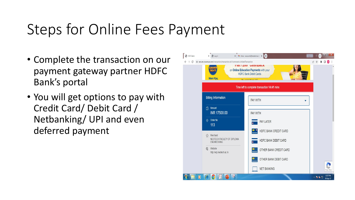- Complete the transaction on our payment gateway partner HDFC Bank's portal
- You will get options to pay with Credit Card/ Debit Card / Netbanking/ UPI and even deferred payment